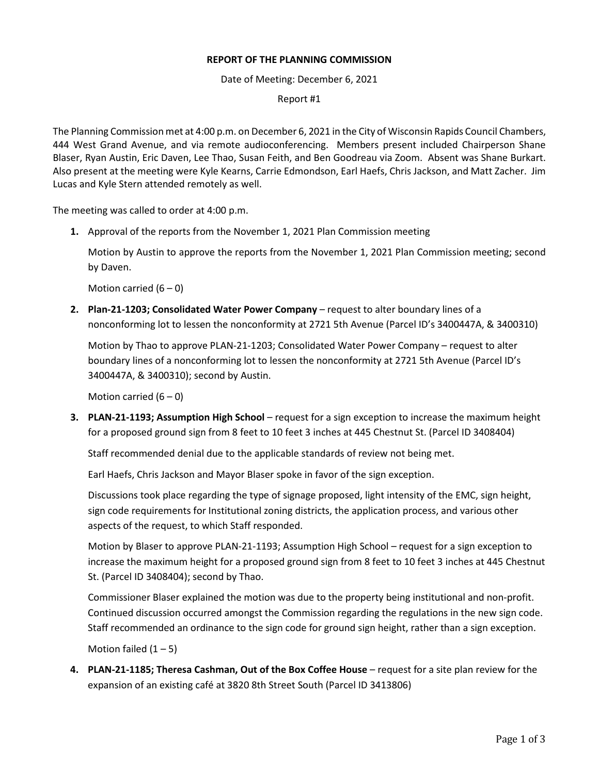## **REPORT OF THE PLANNING COMMISSION**

Date of Meeting: December 6, 2021

Report #1

The Planning Commission met at 4:00 p.m. on December 6, 2021 in the City of Wisconsin Rapids Council Chambers, 444 West Grand Avenue, and via remote audioconferencing. Members present included Chairperson Shane Blaser, Ryan Austin, Eric Daven, Lee Thao, Susan Feith, and Ben Goodreau via Zoom. Absent was Shane Burkart. Also present at the meeting were Kyle Kearns, Carrie Edmondson, Earl Haefs, Chris Jackson, and Matt Zacher. Jim Lucas and Kyle Stern attended remotely as well.

The meeting was called to order at 4:00 p.m.

**1.** Approval of the reports from the November 1, 2021 Plan Commission meeting

Motion by Austin to approve the reports from the November 1, 2021 Plan Commission meeting; second by Daven.

Motion carried  $(6 - 0)$ 

**2. Plan-21-1203; Consolidated Water Power Company** – request to alter boundary lines of a nonconforming lot to lessen the nonconformity at 2721 5th Avenue (Parcel ID's 3400447A, & 3400310)

Motion by Thao to approve PLAN-21-1203; Consolidated Water Power Company – request to alter boundary lines of a nonconforming lot to lessen the nonconformity at 2721 5th Avenue (Parcel ID's 3400447A, & 3400310); second by Austin.

Motion carried  $(6 - 0)$ 

**3. PLAN-21-1193; Assumption High School** – request for a sign exception to increase the maximum height for a proposed ground sign from 8 feet to 10 feet 3 inches at 445 Chestnut St. (Parcel ID 3408404)

Staff recommended denial due to the applicable standards of review not being met.

Earl Haefs, Chris Jackson and Mayor Blaser spoke in favor of the sign exception.

Discussions took place regarding the type of signage proposed, light intensity of the EMC, sign height, sign code requirements for Institutional zoning districts, the application process, and various other aspects of the request, to which Staff responded.

Motion by Blaser to approve PLAN-21-1193; Assumption High School – request for a sign exception to increase the maximum height for a proposed ground sign from 8 feet to 10 feet 3 inches at 445 Chestnut St. (Parcel ID 3408404); second by Thao.

Commissioner Blaser explained the motion was due to the property being institutional and non-profit. Continued discussion occurred amongst the Commission regarding the regulations in the new sign code. Staff recommended an ordinance to the sign code for ground sign height, rather than a sign exception.

Motion failed  $(1 – 5)$ 

**4. PLAN-21-1185; Theresa Cashman, Out of the Box Coffee House** – request for a site plan review for the expansion of an existing café at 3820 8th Street South (Parcel ID 3413806)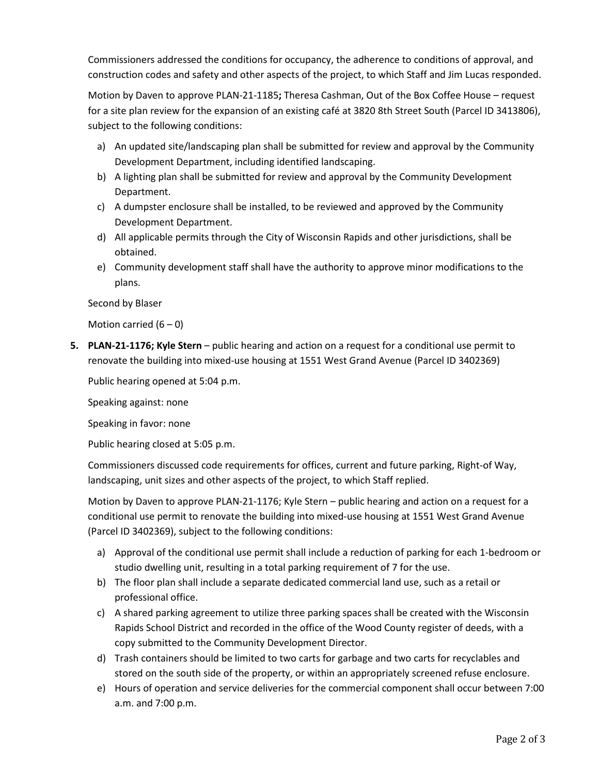Commissioners addressed the conditions for occupancy, the adherence to conditions of approval, and construction codes and safety and other aspects of the project, to which Staff and Jim Lucas responded.

Motion by Daven to approve PLAN-21-1185**;** Theresa Cashman, Out of the Box Coffee House – request for a site plan review for the expansion of an existing café at 3820 8th Street South (Parcel ID 3413806), subject to the following conditions:

- a) An updated site/landscaping plan shall be submitted for review and approval by the Community Development Department, including identified landscaping.
- b) A lighting plan shall be submitted for review and approval by the Community Development Department.
- c) A dumpster enclosure shall be installed, to be reviewed and approved by the Community Development Department.
- d) All applicable permits through the City of Wisconsin Rapids and other jurisdictions, shall be obtained.
- e) Community development staff shall have the authority to approve minor modifications to the plans.

Second by Blaser

Motion carried  $(6 - 0)$ 

**5. PLAN-21-1176; Kyle Stern** – public hearing and action on a request for a conditional use permit to renovate the building into mixed-use housing at 1551 West Grand Avenue (Parcel ID 3402369)

Public hearing opened at 5:04 p.m.

Speaking against: none

Speaking in favor: none

Public hearing closed at 5:05 p.m.

Commissioners discussed code requirements for offices, current and future parking, Right-of Way, landscaping, unit sizes and other aspects of the project, to which Staff replied.

Motion by Daven to approve PLAN-21-1176; Kyle Stern – public hearing and action on a request for a conditional use permit to renovate the building into mixed-use housing at 1551 West Grand Avenue (Parcel ID 3402369), subject to the following conditions:

- a) Approval of the conditional use permit shall include a reduction of parking for each 1-bedroom or studio dwelling unit, resulting in a total parking requirement of 7 for the use.
- b) The floor plan shall include a separate dedicated commercial land use, such as a retail or professional office.
- c) A shared parking agreement to utilize three parking spaces shall be created with the Wisconsin Rapids School District and recorded in the office of the Wood County register of deeds, with a copy submitted to the Community Development Director.
- d) Trash containers should be limited to two carts for garbage and two carts for recyclables and stored on the south side of the property, or within an appropriately screened refuse enclosure.
- e) Hours of operation and service deliveries for the commercial component shall occur between 7:00 a.m. and 7:00 p.m.